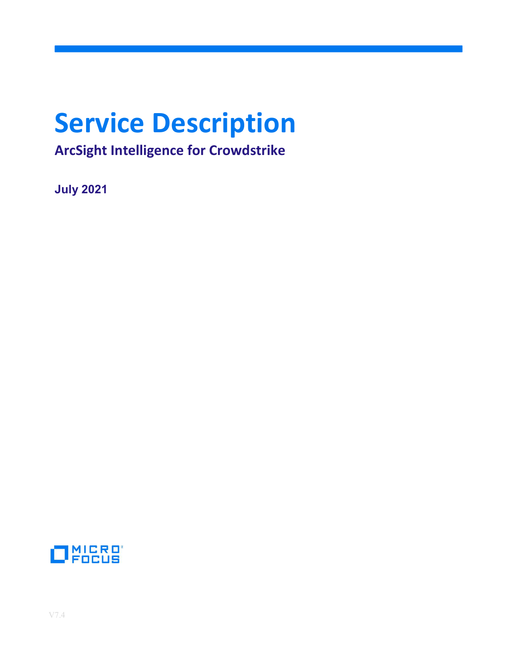# Service Description

ArcSight Intelligence for Crowdstrike

July 2021

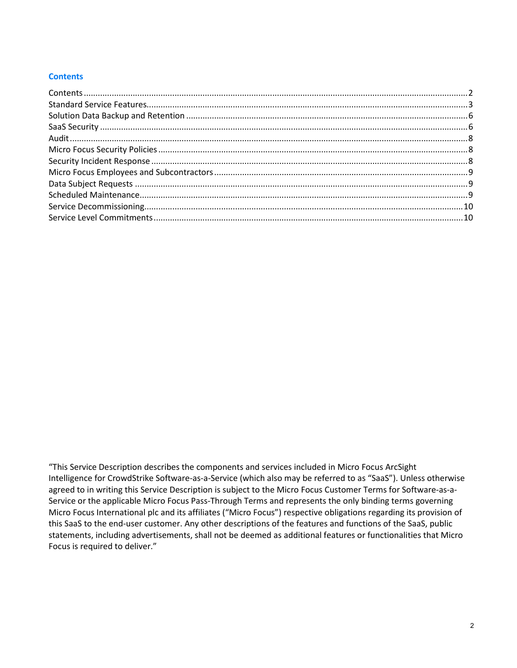## **Contents**

"This Service Description describes the components and services included in Micro Focus ArcSight Intelligence for CrowdStrike Software-as-a-Service (which also may be referred to as "SaaS"). Unless otherwise agreed to in writing this Service Description is subject to the Micro Focus Customer Terms for Software-as-a-Service or the applicable Micro Focus Pass-Through Terms and represents the only binding terms governing Micro Focus International plc and its affiliates ("Micro Focus") respective obligations regarding its provision of this SaaS to the end-user customer. Any other descriptions of the features and functions of the SaaS, public statements, including advertisements, shall not be deemed as additional features or functionalities that Micro Focus is required to deliver."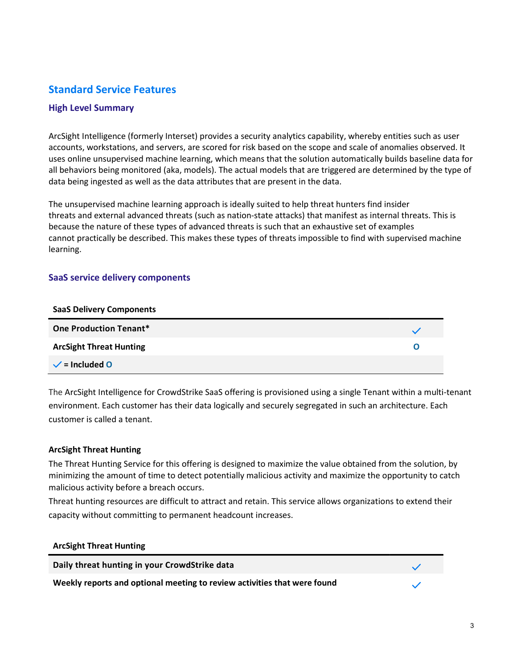# Standard Service Features

## High Level Summary

ArcSight Intelligence (formerly Interset) provides a security analytics capability, whereby entities such as user accounts, workstations, and servers, are scored for risk based on the scope and scale of anomalies observed. It uses online unsupervised machine learning, which means that the solution automatically builds baseline data for all behaviors being monitored (aka, models). The actual models that are triggered are determined by the type of data being ingested as well as the data attributes that are present in the data.

The unsupervised machine learning approach is ideally suited to help threat hunters find insider threats and external advanced threats (such as nation-state attacks) that manifest as internal threats. This is because the nature of these types of advanced threats is such that an exhaustive set of examples cannot practically be described. This makes these types of threats impossible to find with supervised machine learning.

## SaaS service delivery components

| <b>SaaS Delivery Components</b> |   |
|---------------------------------|---|
| <b>One Production Tenant*</b>   |   |
| <b>ArcSight Threat Hunting</b>  | O |
| $\checkmark$ = Included 0       |   |

The ArcSight Intelligence for CrowdStrike SaaS offering is provisioned using a single Tenant within a multi-tenant environment. Each customer has their data logically and securely segregated in such an architecture. Each customer is called a tenant.

## ArcSight Threat Hunting

ArcSight Threat Hunting

The Threat Hunting Service for this offering is designed to maximize the value obtained from the solution, by minimizing the amount of time to detect potentially malicious activity and maximize the opportunity to catch malicious activity before a breach occurs.

Threat hunting resources are difficult to attract and retain. This service allows organizations to extend their capacity without committing to permanent headcount increases.

| <b>AIGRIL THICAL HUILING</b>                                             |  |
|--------------------------------------------------------------------------|--|
| Daily threat hunting in your CrowdStrike data                            |  |
| Weekly reports and optional meeting to review activities that were found |  |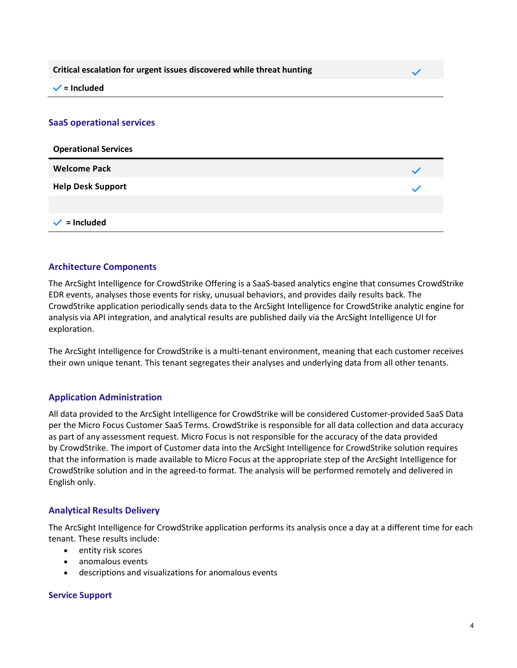Critical escalation for urgent issues discovered while threat hunting



 $\checkmark$  = Included

#### SaaS operational services

| <b>Operational Services</b> |  |
|-----------------------------|--|
| <b>Welcome Pack</b>         |  |
| <b>Help Desk Support</b>    |  |
|                             |  |
| $=$ Included                |  |

#### Architecture Components

The ArcSight Intelligence for CrowdStrike Offering is a SaaS-based analytics engine that consumes CrowdStrike EDR events, analyses those events for risky, unusual behaviors, and provides daily results back. The CrowdStrike application periodically sends data to the ArcSight Intelligence for CrowdStrike analytic engine for analysis via API integration, and analytical results are published daily via the ArcSight Intelligence UI for exploration.

The ArcSight Intelligence for CrowdStrike is a multi-tenant environment, meaning that each customer receives their own unique tenant. This tenant segregates their analyses and underlying data from all other tenants.

## Application Administration

All data provided to the ArcSight Intelligence for CrowdStrike will be considered Customer-provided SaaS Data per the Micro Focus Customer SaaS Terms. CrowdStrike is responsible for all data collection and data accuracy as part of any assessment request. Micro Focus is not responsible for the accuracy of the data provided by CrowdStrike. The import of Customer data into the ArcSight Intelligence for CrowdStrike solution requires that the information is made available to Micro Focus at the appropriate step of the ArcSight Intelligence for CrowdStrike solution and in the agreed-to format. The analysis will be performed remotely and delivered in English only.

#### Analytical Results Delivery

The ArcSight Intelligence for CrowdStrike application performs its analysis once a day at a different time for each tenant. These results include:

- entity risk scores
- anomalous events
- descriptions and visualizations for anomalous events

#### Service Support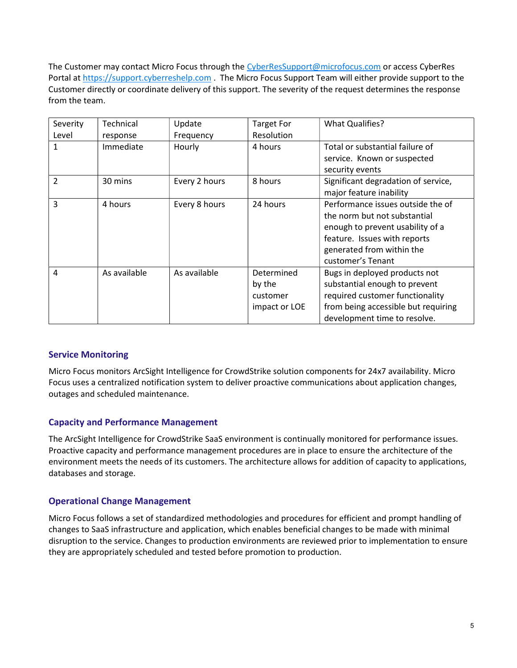The Customer may contact Micro Focus through the CyberResSupport@microfocus.com or access CyberRes Portal at https://support.cyberreshelp.com . The Micro Focus Support Team will either provide support to the Customer directly or coordinate delivery of this support. The severity of the request determines the response from the team.

| Severity                 | Technical    | Update        | <b>Target For</b> | <b>What Qualifies?</b>              |
|--------------------------|--------------|---------------|-------------------|-------------------------------------|
| Level                    | response     | Frequency     | Resolution        |                                     |
|                          | Immediate    | Hourly        | 4 hours           | Total or substantial failure of     |
|                          |              |               |                   | service. Known or suspected         |
|                          |              |               |                   | security events                     |
| $\overline{\mathcal{L}}$ | 30 mins      | Every 2 hours | 8 hours           | Significant degradation of service, |
|                          |              |               |                   | major feature inability             |
| 3                        | 4 hours      | Every 8 hours | 24 hours          | Performance issues outside the of   |
|                          |              |               |                   | the norm but not substantial        |
|                          |              |               |                   | enough to prevent usability of a    |
|                          |              |               |                   | feature. Issues with reports        |
|                          |              |               |                   | generated from within the           |
|                          |              |               |                   | customer's Tenant                   |
| 4                        | As available | As available  | Determined        | Bugs in deployed products not       |
|                          |              |               | by the            | substantial enough to prevent       |
|                          |              |               | customer          | required customer functionality     |
|                          |              |               | impact or LOE     | from being accessible but requiring |
|                          |              |               |                   | development time to resolve.        |

## Service Monitoring

Micro Focus monitors ArcSight Intelligence for CrowdStrike solution components for 24x7 availability. Micro Focus uses a centralized notification system to deliver proactive communications about application changes, outages and scheduled maintenance.

## Capacity and Performance Management

The ArcSight Intelligence for CrowdStrike SaaS environment is continually monitored for performance issues. Proactive capacity and performance management procedures are in place to ensure the architecture of the environment meets the needs of its customers. The architecture allows for addition of capacity to applications, databases and storage.

## Operational Change Management

Micro Focus follows a set of standardized methodologies and procedures for efficient and prompt handling of changes to SaaS infrastructure and application, which enables beneficial changes to be made with minimal disruption to the service. Changes to production environments are reviewed prior to implementation to ensure they are appropriately scheduled and tested before promotion to production.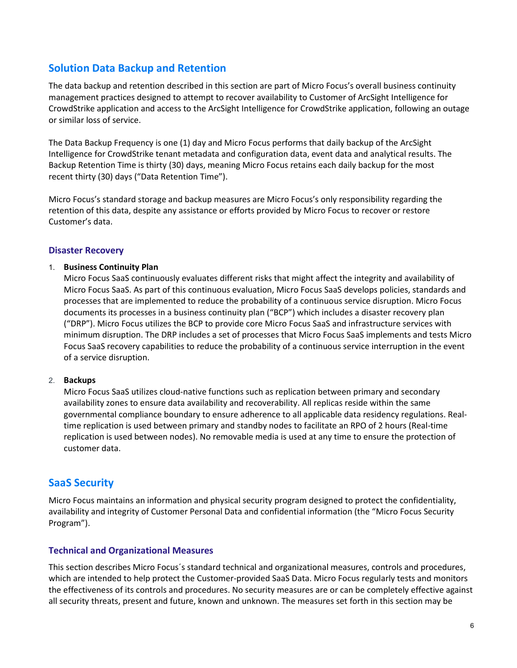# Solution Data Backup and Retention

The data backup and retention described in this section are part of Micro Focus's overall business continuity management practices designed to attempt to recover availability to Customer of ArcSight Intelligence for CrowdStrike application and access to the ArcSight Intelligence for CrowdStrike application, following an outage or similar loss of service.

The Data Backup Frequency is one (1) day and Micro Focus performs that daily backup of the ArcSight Intelligence for CrowdStrike tenant metadata and configuration data, event data and analytical results. The Backup Retention Time is thirty (30) days, meaning Micro Focus retains each daily backup for the most recent thirty (30) days ("Data Retention Time").

Micro Focus's standard storage and backup measures are Micro Focus's only responsibility regarding the retention of this data, despite any assistance or efforts provided by Micro Focus to recover or restore Customer's data.

## Disaster Recovery

## 1. Business Continuity Plan

Micro Focus SaaS continuously evaluates different risks that might affect the integrity and availability of Micro Focus SaaS. As part of this continuous evaluation, Micro Focus SaaS develops policies, standards and processes that are implemented to reduce the probability of a continuous service disruption. Micro Focus documents its processes in a business continuity plan ("BCP") which includes a disaster recovery plan ("DRP"). Micro Focus utilizes the BCP to provide core Micro Focus SaaS and infrastructure services with minimum disruption. The DRP includes a set of processes that Micro Focus SaaS implements and tests Micro Focus SaaS recovery capabilities to reduce the probability of a continuous service interruption in the event of a service disruption.

#### 2. Backups

Micro Focus SaaS utilizes cloud-native functions such as replication between primary and secondary availability zones to ensure data availability and recoverability. All replicas reside within the same governmental compliance boundary to ensure adherence to all applicable data residency regulations. Realtime replication is used between primary and standby nodes to facilitate an RPO of 2 hours (Real-time replication is used between nodes). No removable media is used at any time to ensure the protection of customer data.

# SaaS Security

Micro Focus maintains an information and physical security program designed to protect the confidentiality, availability and integrity of Customer Personal Data and confidential information (the "Micro Focus Security Program").

## Technical and Organizational Measures

This section describes Micro Focus´s standard technical and organizational measures, controls and procedures, which are intended to help protect the Customer-provided SaaS Data. Micro Focus regularly tests and monitors the effectiveness of its controls and procedures. No security measures are or can be completely effective against all security threats, present and future, known and unknown. The measures set forth in this section may be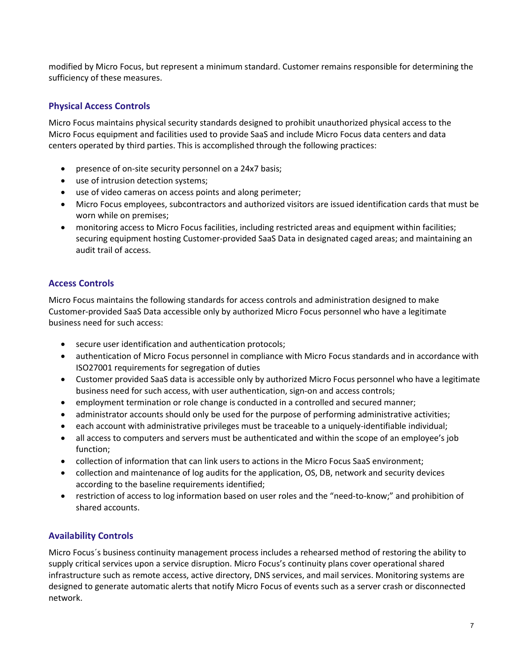modified by Micro Focus, but represent a minimum standard. Customer remains responsible for determining the sufficiency of these measures.

## Physical Access Controls

Micro Focus maintains physical security standards designed to prohibit unauthorized physical access to the Micro Focus equipment and facilities used to provide SaaS and include Micro Focus data centers and data centers operated by third parties. This is accomplished through the following practices:

- presence of on-site security personnel on a 24x7 basis;
- use of intrusion detection systems;
- use of video cameras on access points and along perimeter;
- Micro Focus employees, subcontractors and authorized visitors are issued identification cards that must be worn while on premises;
- monitoring access to Micro Focus facilities, including restricted areas and equipment within facilities; securing equipment hosting Customer-provided SaaS Data in designated caged areas; and maintaining an audit trail of access.

## Access Controls

Micro Focus maintains the following standards for access controls and administration designed to make Customer-provided SaaS Data accessible only by authorized Micro Focus personnel who have a legitimate business need for such access:

- secure user identification and authentication protocols;
- authentication of Micro Focus personnel in compliance with Micro Focus standards and in accordance with ISO27001 requirements for segregation of duties
- Customer provided SaaS data is accessible only by authorized Micro Focus personnel who have a legitimate business need for such access, with user authentication, sign-on and access controls;
- employment termination or role change is conducted in a controlled and secured manner;
- administrator accounts should only be used for the purpose of performing administrative activities;
- each account with administrative privileges must be traceable to a uniquely-identifiable individual;
- all access to computers and servers must be authenticated and within the scope of an employee's job function;
- collection of information that can link users to actions in the Micro Focus SaaS environment;
- collection and maintenance of log audits for the application, OS, DB, network and security devices according to the baseline requirements identified;
- restriction of access to log information based on user roles and the "need-to-know;" and prohibition of shared accounts.

## Availability Controls

Micro Focus´s business continuity management process includes a rehearsed method of restoring the ability to supply critical services upon a service disruption. Micro Focus's continuity plans cover operational shared infrastructure such as remote access, active directory, DNS services, and mail services. Monitoring systems are designed to generate automatic alerts that notify Micro Focus of events such as a server crash or disconnected network.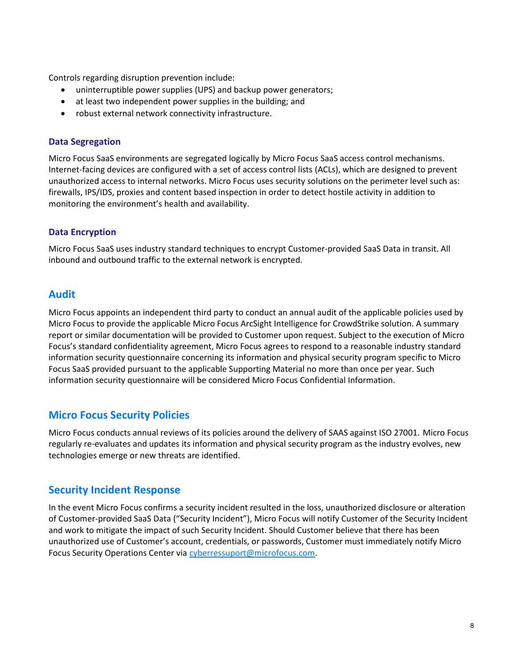Controls regarding disruption prevention include:

- uninterruptible power supplies (UPS) and backup power generators;
- at least two independent power supplies in the building; and
- robust external network connectivity infrastructure.

## Data Segregation

Micro Focus SaaS environments are segregated logically by Micro Focus SaaS access control mechanisms. Internet-facing devices are configured with a set of access control lists (ACLs), which are designed to prevent unauthorized access to internal networks. Micro Focus uses security solutions on the perimeter level such as: firewalls, IPS/IDS, proxies and content based inspection in order to detect hostile activity in addition to monitoring the environment's health and availability.

## Data Encryption

Micro Focus SaaS uses industry standard techniques to encrypt Customer-provided SaaS Data in transit. All inbound and outbound traffic to the external network is encrypted.

## Audit

Micro Focus appoints an independent third party to conduct an annual audit of the applicable policies used by Micro Focus to provide the applicable Micro Focus ArcSight Intelligence for CrowdStrike solution. A summary report or similar documentation will be provided to Customer upon request. Subject to the execution of Micro Focus's standard confidentiality agreement, Micro Focus agrees to respond to a reasonable industry standard information security questionnaire concerning its information and physical security program specific to Micro Focus SaaS provided pursuant to the applicable Supporting Material no more than once per year. Such information security questionnaire will be considered Micro Focus Confidential Information.

# Micro Focus Security Policies

Micro Focus conducts annual reviews of its policies around the delivery of SAAS against ISO 27001. Micro Focus regularly re-evaluates and updates its information and physical security program as the industry evolves, new technologies emerge or new threats are identified.

# Security Incident Response

In the event Micro Focus confirms a security incident resulted in the loss, unauthorized disclosure or alteration of Customer-provided SaaS Data ("Security Incident"), Micro Focus will notify Customer of the Security Incident and work to mitigate the impact of such Security Incident. Should Customer believe that there has been unauthorized use of Customer's account, credentials, or passwords, Customer must immediately notify Micro Focus Security Operations Center via cyberressuport@microfocus.com.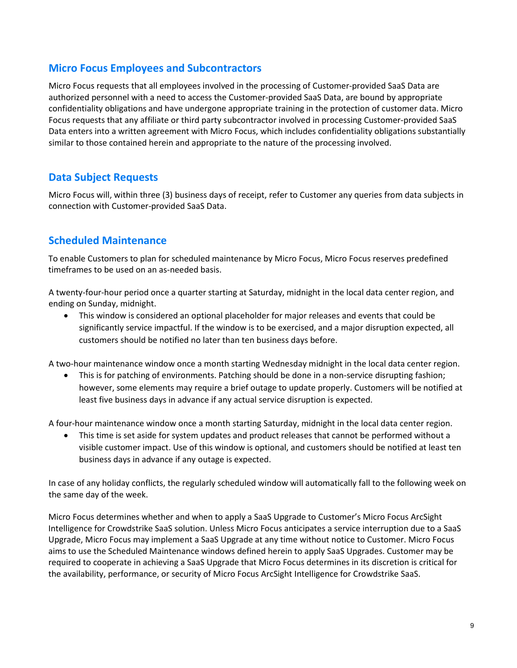# Micro Focus Employees and Subcontractors

Micro Focus requests that all employees involved in the processing of Customer-provided SaaS Data are authorized personnel with a need to access the Customer-provided SaaS Data, are bound by appropriate confidentiality obligations and have undergone appropriate training in the protection of customer data. Micro Focus requests that any affiliate or third party subcontractor involved in processing Customer-provided SaaS Data enters into a written agreement with Micro Focus, which includes confidentiality obligations substantially similar to those contained herein and appropriate to the nature of the processing involved.

# Data Subject Requests

Micro Focus will, within three (3) business days of receipt, refer to Customer any queries from data subjects in connection with Customer-provided SaaS Data.

# Scheduled Maintenance

To enable Customers to plan for scheduled maintenance by Micro Focus, Micro Focus reserves predefined timeframes to be used on an as-needed basis.

A twenty-four-hour period once a quarter starting at Saturday, midnight in the local data center region, and ending on Sunday, midnight.

 This window is considered an optional placeholder for major releases and events that could be significantly service impactful. If the window is to be exercised, and a major disruption expected, all customers should be notified no later than ten business days before.

A two-hour maintenance window once a month starting Wednesday midnight in the local data center region.

 This is for patching of environments. Patching should be done in a non-service disrupting fashion; however, some elements may require a brief outage to update properly. Customers will be notified at least five business days in advance if any actual service disruption is expected.

A four-hour maintenance window once a month starting Saturday, midnight in the local data center region.

 This time is set aside for system updates and product releases that cannot be performed without a visible customer impact. Use of this window is optional, and customers should be notified at least ten business days in advance if any outage is expected.

In case of any holiday conflicts, the regularly scheduled window will automatically fall to the following week on the same day of the week.

Micro Focus determines whether and when to apply a SaaS Upgrade to Customer's Micro Focus ArcSight Intelligence for Crowdstrike SaaS solution. Unless Micro Focus anticipates a service interruption due to a SaaS Upgrade, Micro Focus may implement a SaaS Upgrade at any time without notice to Customer. Micro Focus aims to use the Scheduled Maintenance windows defined herein to apply SaaS Upgrades. Customer may be required to cooperate in achieving a SaaS Upgrade that Micro Focus determines in its discretion is critical for the availability, performance, or security of Micro Focus ArcSight Intelligence for Crowdstrike SaaS.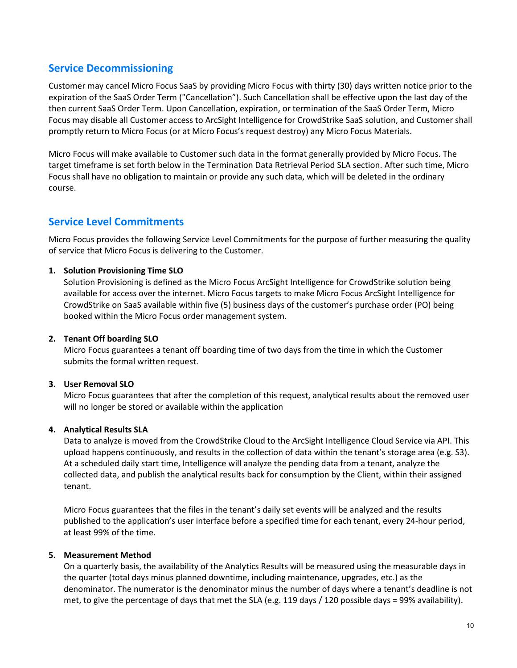# Service Decommissioning

Customer may cancel Micro Focus SaaS by providing Micro Focus with thirty (30) days written notice prior to the expiration of the SaaS Order Term ("Cancellation"). Such Cancellation shall be effective upon the last day of the then current SaaS Order Term. Upon Cancellation, expiration, or termination of the SaaS Order Term, Micro Focus may disable all Customer access to ArcSight Intelligence for CrowdStrike SaaS solution, and Customer shall promptly return to Micro Focus (or at Micro Focus's request destroy) any Micro Focus Materials.

Micro Focus will make available to Customer such data in the format generally provided by Micro Focus. The target timeframe is set forth below in the Termination Data Retrieval Period SLA section. After such time, Micro Focus shall have no obligation to maintain or provide any such data, which will be deleted in the ordinary course.

## Service Level Commitments

Micro Focus provides the following Service Level Commitments for the purpose of further measuring the quality of service that Micro Focus is delivering to the Customer.

## 1. Solution Provisioning Time SLO

Solution Provisioning is defined as the Micro Focus ArcSight Intelligence for CrowdStrike solution being available for access over the internet. Micro Focus targets to make Micro Focus ArcSight Intelligence for CrowdStrike on SaaS available within five (5) business days of the customer's purchase order (PO) being booked within the Micro Focus order management system.

## 2. Tenant Off boarding SLO

Micro Focus guarantees a tenant off boarding time of two days from the time in which the Customer submits the formal written request.

## 3. User Removal SLO

Micro Focus guarantees that after the completion of this request, analytical results about the removed user will no longer be stored or available within the application

## 4. Analytical Results SLA

Data to analyze is moved from the CrowdStrike Cloud to the ArcSight Intelligence Cloud Service via API. This upload happens continuously, and results in the collection of data within the tenant's storage area (e.g. S3). At a scheduled daily start time, Intelligence will analyze the pending data from a tenant, analyze the collected data, and publish the analytical results back for consumption by the Client, within their assigned tenant.

Micro Focus guarantees that the files in the tenant's daily set events will be analyzed and the results published to the application's user interface before a specified time for each tenant, every 24-hour period, at least 99% of the time.

#### 5. Measurement Method

On a quarterly basis, the availability of the Analytics Results will be measured using the measurable days in the quarter (total days minus planned downtime, including maintenance, upgrades, etc.) as the denominator. The numerator is the denominator minus the number of days where a tenant's deadline is not met, to give the percentage of days that met the SLA (e.g. 119 days / 120 possible days = 99% availability).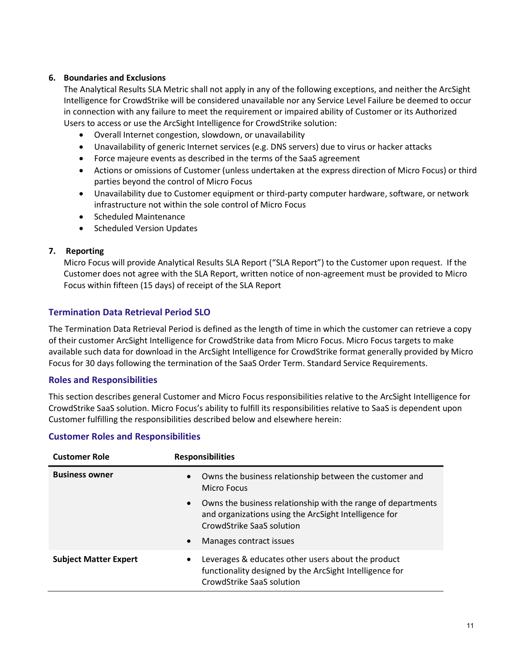## 6. Boundaries and Exclusions

The Analytical Results SLA Metric shall not apply in any of the following exceptions, and neither the ArcSight Intelligence for CrowdStrike will be considered unavailable nor any Service Level Failure be deemed to occur in connection with any failure to meet the requirement or impaired ability of Customer or its Authorized Users to access or use the ArcSight Intelligence for CrowdStrike solution:

- Overall Internet congestion, slowdown, or unavailability
- Unavailability of generic Internet services (e.g. DNS servers) due to virus or hacker attacks
- Force majeure events as described in the terms of the SaaS agreement
- Actions or omissions of Customer (unless undertaken at the express direction of Micro Focus) or third parties beyond the control of Micro Focus
- Unavailability due to Customer equipment or third-party computer hardware, software, or network infrastructure not within the sole control of Micro Focus
- Scheduled Maintenance
- Scheduled Version Updates

## 7. Reporting

Micro Focus will provide Analytical Results SLA Report ("SLA Report") to the Customer upon request. If the Customer does not agree with the SLA Report, written notice of non-agreement must be provided to Micro Focus within fifteen (15 days) of receipt of the SLA Report

## Termination Data Retrieval Period SLO

The Termination Data Retrieval Period is defined as the length of time in which the customer can retrieve a copy of their customer ArcSight Intelligence for CrowdStrike data from Micro Focus. Micro Focus targets to make available such data for download in the ArcSight Intelligence for CrowdStrike format generally provided by Micro Focus for 30 days following the termination of the SaaS Order Term. Standard Service Requirements.

## Roles and Responsibilities

This section describes general Customer and Micro Focus responsibilities relative to the ArcSight Intelligence for CrowdStrike SaaS solution. Micro Focus's ability to fulfill its responsibilities relative to SaaS is dependent upon Customer fulfilling the responsibilities described below and elsewhere herein:

## Customer Roles and Responsibilities

| <b>Customer Role</b>         | <b>Responsibilities</b>                                                                                                                                         |  |
|------------------------------|-----------------------------------------------------------------------------------------------------------------------------------------------------------------|--|
| <b>Business owner</b>        | Owns the business relationship between the customer and<br>$\bullet$<br>Micro Focus                                                                             |  |
|                              | Owns the business relationship with the range of departments<br>$\bullet$<br>and organizations using the ArcSight Intelligence for<br>CrowdStrike SaaS solution |  |
|                              | Manages contract issues<br>$\bullet$                                                                                                                            |  |
| <b>Subject Matter Expert</b> | Leverages & educates other users about the product<br>٠<br>functionality designed by the ArcSight Intelligence for<br>CrowdStrike SaaS solution                 |  |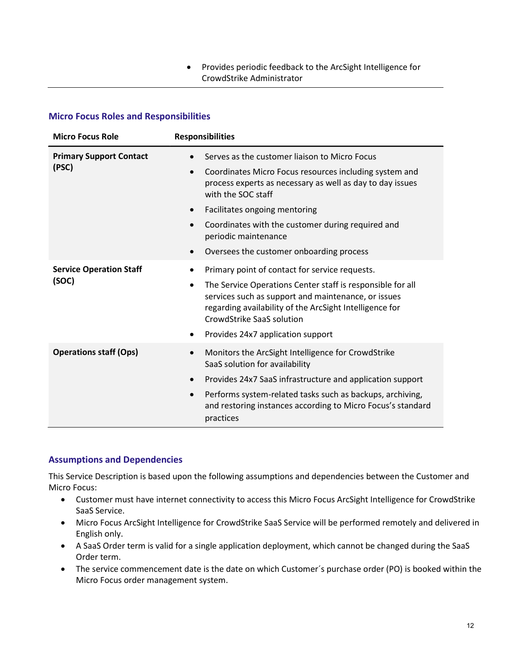Provides periodic feedback to the ArcSight Intelligence for CrowdStrike Administrator

## Micro Focus Roles and Responsibilities

| <b>Micro Focus Role</b>        | <b>Responsibilities</b>                                                                                                                                                                                                |
|--------------------------------|------------------------------------------------------------------------------------------------------------------------------------------------------------------------------------------------------------------------|
| <b>Primary Support Contact</b> | Serves as the customer liaison to Micro Focus                                                                                                                                                                          |
| (PSC)                          | Coordinates Micro Focus resources including system and<br>process experts as necessary as well as day to day issues<br>with the SOC staff                                                                              |
|                                | Facilitates ongoing mentoring                                                                                                                                                                                          |
|                                | Coordinates with the customer during required and<br>periodic maintenance                                                                                                                                              |
|                                | Oversees the customer onboarding process                                                                                                                                                                               |
| <b>Service Operation Staff</b> | Primary point of contact for service requests.                                                                                                                                                                         |
| (SOC)                          | The Service Operations Center staff is responsible for all<br>$\bullet$<br>services such as support and maintenance, or issues<br>regarding availability of the ArcSight Intelligence for<br>CrowdStrike SaaS solution |
|                                | Provides 24x7 application support                                                                                                                                                                                      |
| <b>Operations staff (Ops)</b>  | Monitors the ArcSight Intelligence for CrowdStrike<br>SaaS solution for availability                                                                                                                                   |
|                                | Provides 24x7 SaaS infrastructure and application support                                                                                                                                                              |
|                                | Performs system-related tasks such as backups, archiving,<br>and restoring instances according to Micro Focus's standard<br>practices                                                                                  |

#### Assumptions and Dependencies

This Service Description is based upon the following assumptions and dependencies between the Customer and Micro Focus:

- Customer must have internet connectivity to access this Micro Focus ArcSight Intelligence for CrowdStrike SaaS Service.
- Micro Focus ArcSight Intelligence for CrowdStrike SaaS Service will be performed remotely and delivered in English only.
- A SaaS Order term is valid for a single application deployment, which cannot be changed during the SaaS Order term.
- The service commencement date is the date on which Customer´s purchase order (PO) is booked within the Micro Focus order management system.